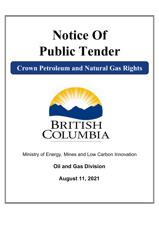# **Notice Of Public Tender**

**Crown Petroleum and Natural Gas Rights**



Ministry of Energy, Mines and Low Carbon Innovation

**Oil and Gas Division**

**August 11, 2021**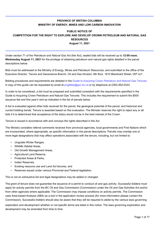## **PROVINCE OF BRITISH COLUMBIA MINISTRY OF ENERGY, MINES AND LOW CARBON INNOVATION**

## **PUBLIC NOTICE OF COMPETITION FOR THE RIGHT TO EXPLORE AND DEVELOP CROWN PETROLEUM AND NATURAL GAS RESOURCES August 11, 2021**

Under section 71 of the *Petroleum and Natural Gas Act* (the Act), sealed bids will be received up to **12:00 noon, Wednesday August 11, 2021** for the privilege of obtaining petroleum and natural gas rights detailed in the parcel descriptions below.

Bids must be addressed to the Ministry of Energy, Mines and Petroleum Resources, and submitted to the office of the Executive Director, Tenure and Geoscience Branch, Oil and Gas Division, 6th floor, 1810 Blanshard Street, V8T 4J1.

Bidding procedures and requirements are detailed in the [Guide to Acquiring Crown Petroleum and Natural Gas Tenures](https://www2.gov.bc.ca/assets/gov/farming-natural-resources-and-industry/natural-gas-oil/png-crown-sale/publications/biddinganddispositionguide.pdf) A copy of this guide can be requested by email at<pngtitles@gov.bc.ca> or by telephone at (250) 952-0333.

In order to be considered, a bid must be prepared and submitted consistent with the requirements specified in the Guide to Acquiring Crown Petroleum and Natural Gas Tenures. This includes the requirement to submit the \$500 issuance fee and first year's rent as indicated in the list of parcels below.

A bid is evaluated against other bids received for the parcel, the geological potential of the parcel, and historical and current bidding trends. Tenure is awarded based on this evaluation. The Minister reserves the right to reject any or all bids if it is determined that acceptance of the bid(s) would not be in the best interest of the Crown.

Tenure is issued in accordance with and conveys the rights described in the Act.

The Ministry considers referral comments received from provincial agencies, local governments and First Nations which are incorporated, where appropriate, as specific information in the parcel descriptions. Parcels may overlap one or more legal designations that may affect operations associated with the tenure, including, but not limited to:

- Ungulate Winter Ranges,
- Wildlife Habitat Areas,
- Old Growth Management Areas,
- Agricultural Land Reserve,
- Protected Areas & Parks,
- Indian Reserves,
- Existing resource use and Land Act tenures, and
- Reserves issued under various Provincial and Federal legislation.

This is not an exhaustive list and legal designations may be added or changed.

The grant of tenure does not guarantee the issuance of a permit to conduct oil and gas activity. Successful bidders must apply for activity permits from the BC Oil and Gas Commission (Commission) under the Oil and Gas Activities Act and/or from other agencies where applicable. The Commission may impose conditions on activity permits. The Commission uses Area-based Analysis (ABA) as a tool in the application review process (for more information please contact the Commission). Successful bidders should also be aware that they will be required to abide by the various laws governing

exploration and development whether or not specific terms are listed in this notice. The laws governing exploration and development may be amended from time to time.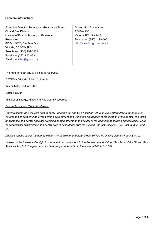#### **For More Information:**

Executive Director, Tenure and Geoscience Branch | Oil and Gas Commission Oil and Gas Division Ministry of Energy, Mines and Petroleum **Resources** PO Box 9326, Stn Prov Govt Victoria, BC V8W 9N3 Telephone: (250) 952-0333 Email: <pngtitles@gov.bc.ca> Facsimile: (250) 952-0331

PO Box 933 Victoria, BC V8W 9N3 Telephone: (250) 419-4400 [http://www.bcogc.ca/contact](http://www.bcogc.ca/contact )

The right to reject any or all bids is reserved.

DATED at Victoria, British Columbia

this 24th day of June, 2021

Bruce Ralston

Minister of Energy, Mines and Petroleum Resources

#### *Tenure Types and Rights Conferred:*

*Permits confer the exclusive right to apply under the Oil and Gas Activities Act to do exploratory drilling for petroleum, natural gas or both on land owned by the government and within the boundaries of the location of the permit. The issue or existence of a permit does not prohibit a person other than the holder of the permit from carrying out geological work or geophysical exploration in the permit area in accordance with the Oil and Gas Activities Act. (PNG Act, s. 38(1) and (2))*

*Drilling licences confer the right to explore for petroleum and natural gas. (PNG Act: Drilling Licence Regulation, s.1)*

*Leases confer the exclusive right to produce, in accordance with the Petroleum and Natural Gas Act and the Oil and Gas Activities Act, both the petroleum and natural gas referred to in the lease. (PNG Act, s. 50)*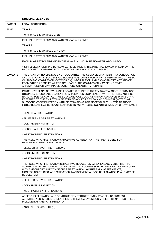|                | <b>DRILLING LICENCES</b>                                                                                                                                                                                                                                                                                                                                                                                                                                                                             |           |
|----------------|------------------------------------------------------------------------------------------------------------------------------------------------------------------------------------------------------------------------------------------------------------------------------------------------------------------------------------------------------------------------------------------------------------------------------------------------------------------------------------------------------|-----------|
| <b>PARCEL</b>  | <b>LEGAL DESCRIPTION</b>                                                                                                                                                                                                                                                                                                                                                                                                                                                                             | <b>HA</b> |
| 67372          | <b>TRACT 1</b>                                                                                                                                                                                                                                                                                                                                                                                                                                                                                       | 264       |
|                | TWP 087 RGE 17 W6M SEC 23SE                                                                                                                                                                                                                                                                                                                                                                                                                                                                          |           |
|                | INCLUDING PETROLEUM AND NATURAL GAS ALL ZONES                                                                                                                                                                                                                                                                                                                                                                                                                                                        |           |
|                | <b>TRACT 2</b>                                                                                                                                                                                                                                                                                                                                                                                                                                                                                       |           |
|                | TWP 087 RGE 17 W6M SEC 23N 23SW                                                                                                                                                                                                                                                                                                                                                                                                                                                                      |           |
|                | INCLUDING PETROLEUM AND NATURAL GAS ALL ZONES                                                                                                                                                                                                                                                                                                                                                                                                                                                        |           |
|                | EXCLUDING PETROLEUM AND NATURAL GAS IN 43001 BLUESKY-GETHING-DUNLEVY                                                                                                                                                                                                                                                                                                                                                                                                                                 |           |
|                | 43001 BLUESKY-GETHING-DUNLEVY ZONE DEFINED IN THE INTERVAL 1007.9M-1100.4M ON THE<br>BHC ACOUSTILOG GAMMA RAY LOG OF THE WELL W.A. 6790 A-7-E/94-H-02                                                                                                                                                                                                                                                                                                                                                |           |
| <b>CAVEATS</b> | THE GRANT OF TENURE DOES NOT GUARANTEE THE ISSUANCE OF A PERMIT TO CONDUCT OIL<br>AND GAS ACTIVITY. SUCCESSFUL BIDDERS MUST APPLY FOR ACTIVITY PERMITS FROM THE BC<br>OIL AND GAS COMMISSION (COMMISSION) UNDER THE OIL AND GAS ACTIVITIES ACT AND/OR<br>FROM OTHER AGENCIES WHERE APPLICABLE. THE COMMISSION MAY DENY PERMIT<br>APPLICATIONS OR MAY IMPOSE CONDITIONS ON ACTIVITY PERMITS.                                                                                                          |           |
|                | PARCEL OVERLAPS CROWN LAND LOCATED WITHIN THE TREATY #8 AREA AND THE PROVINCE<br>STRONGLY ENCOURAGES EARLY PRE-APPLICATION ENGAGEMENT WITH THE RELEVANT FIRST<br>NATIONS; PLEASE CONTACT THE BC OIL AND GAS COMMISSION FOR GUIDANCE. PARCEL WAS<br>REFERRED TO THE FOLLOWING FIRST NATION(S) FOR REVIEW AND COMMENT (NOTE THAT<br>SUBSEQUENT CONSULTATION WITH FIRST NATIONS, NOT NECESSARILY LIMITED TO THOSE<br>LISTED BELOW, MAY BE REQUIRED PRIOR TO ACTIVITIES BEING AUTHORIZED ON CROWN LAND): |           |
|                | - DENE THA' FIRST NATION                                                                                                                                                                                                                                                                                                                                                                                                                                                                             |           |
|                | - BLUEBERRY RIVER FIRST NATIONS                                                                                                                                                                                                                                                                                                                                                                                                                                                                      |           |
|                | - DOIG RIVER FIRST NATION                                                                                                                                                                                                                                                                                                                                                                                                                                                                            |           |
|                | - HORSE LAKE FIRST NATION                                                                                                                                                                                                                                                                                                                                                                                                                                                                            |           |
|                | - WEST MOBERLY FIRST NATIONS                                                                                                                                                                                                                                                                                                                                                                                                                                                                         |           |
|                | THE FOLLOWING FIRST NATION(S) HAS/HAVE ADVISED THAT THE AREA IS USED FOR<br><b>PRACTISING THEIR TREATY RIGHTS:</b>                                                                                                                                                                                                                                                                                                                                                                                   |           |
|                | - BLUEBERRY RIVER FIRST NATIONS                                                                                                                                                                                                                                                                                                                                                                                                                                                                      |           |
|                | - DOIG RIVER FIRST NATION                                                                                                                                                                                                                                                                                                                                                                                                                                                                            |           |
|                | - WEST MOBERLY FIRST NATIONS                                                                                                                                                                                                                                                                                                                                                                                                                                                                         |           |
|                | THE FOLLOWING FIRST NATION(S) HAS/HAVE REQUESTED EARLY ENGAGEMENT, PRIOR TO<br>SUBMITTING AN APPLICATION TO THE OIL AND GAS COMMISSION, TO PROVIDE THE PROPONENT<br>WITH THE OPPORTUNITY TO DISCUSS FIRST NATION(S) INTERESTS (ASSESSMENTS;<br>MONITORING STUDIES; AND MITIGATION, MANAGEMENT AND/OR RECLAMATION PLANS MAY BE<br>REQUESTED):                                                                                                                                                         |           |
|                | - BLUEBERRY RIVER FIRST NATIONS                                                                                                                                                                                                                                                                                                                                                                                                                                                                      |           |
|                | - DOIG RIVER FIRST NATION                                                                                                                                                                                                                                                                                                                                                                                                                                                                            |           |
|                | - WEST MOBERLY FIRST NATIONS                                                                                                                                                                                                                                                                                                                                                                                                                                                                         |           |
|                | ACCESS, EXPLORATION AND CONSTRUCTION RESTRICTIONS MAY APPLY TO PROTECT<br>ACTIVITIES AND INTERESTS IDENTIFIED IN THE AREA BY ONE OR MORE FIRST NATIONS. THESE<br>INCLUDE BUT ARE NOT LIMITED TO:                                                                                                                                                                                                                                                                                                     |           |
|                | - ARCHAEOLOGICAL SITE(S)                                                                                                                                                                                                                                                                                                                                                                                                                                                                             |           |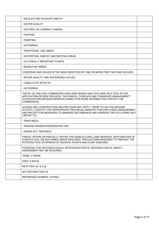| - WILDLIFE AND WILDLIFE HABITAT                                                                                                                                                                                                                             |  |
|-------------------------------------------------------------------------------------------------------------------------------------------------------------------------------------------------------------------------------------------------------------|--|
| - WATER QUALITY                                                                                                                                                                                                                                             |  |
| - HISTORIC OR CURRENT CAMP(S)                                                                                                                                                                                                                               |  |
| - HUNTING                                                                                                                                                                                                                                                   |  |
| - TRAPPING                                                                                                                                                                                                                                                  |  |
| - GATHERING                                                                                                                                                                                                                                                 |  |
| - TRADITIONAL USE AREAS                                                                                                                                                                                                                                     |  |
| - WATERFOWL HABITAT AND NESTING AREAS                                                                                                                                                                                                                       |  |
| - CULTURALLY IMPORTANT PLANTS                                                                                                                                                                                                                               |  |
| - MIGRATORY BIRDS                                                                                                                                                                                                                                           |  |
| CONCERNS AND ISSUES IN THE AREA IDENTIFIED BY ONE OR MORE FIRST NATIONS INCLUDE:                                                                                                                                                                            |  |
| - WATER QUALITY AND WATERSHED VALUES                                                                                                                                                                                                                        |  |
| - CUMULATIVE EFFECTS                                                                                                                                                                                                                                        |  |
| - GATHERING                                                                                                                                                                                                                                                 |  |
| THE BC OIL AND GAS COMMISSION USES AREA BASED ANALYSIS (ABA) AS A TOOL IN THE<br>APPLICATION REVIEW PROCESS; THIS PARCEL OVERLAPS ABA "ENHANCED MANAGEMENT"<br>STATUS WITHIN RIPARIAN RESERVE ZONES (FOR MORE INFORMATION CONTACT THE<br>COMMISSION).       |  |
| ACCESS AND CONSTRUCTION RESTRICTIONS MAY APPLY. PRIOR TO ON-THE-GROUND<br>ACTIVITY, CONTACT THE APPROPRIATE PROVINCIAL MINISTRY FOR APPLICABLE MANAGEMENT<br>AND PROTECTION MEASURES TO MINIMIZE DISTURBANCE AND ADDRESS THE FOLLOWING (NOT<br>LIMITED TO): |  |
| - TRAPLINE(S)                                                                                                                                                                                                                                               |  |
| - GRAZING RESERVE/DESIGNATED USE                                                                                                                                                                                                                            |  |
| - RANGE ACT TENURE(S)                                                                                                                                                                                                                                       |  |
| PARCEL WITHIN OR PARTIALLY WITHIN THE AGRICULTURAL LAND RESERVE; RESTORATION OF<br>SURFACE SOIL ON DISTURBED AREAS REQUIRED. PRECAUTIONS REQUIRED TO PREVENT THE<br>INTRODUCTION OR SPREAD OF INVASIVE PLANTS AND PLANT DISEASES.                           |  |
| POTENTIAL FOR ARCHAEOLOGICAL RESOURCES EXISTS; ARCHAEOLOGICAL IMPACT<br>ASSESSMENT MAY BE REQUIRED.                                                                                                                                                         |  |
| TERM: 3 YEARS                                                                                                                                                                                                                                               |  |
| FEES: \$500.00                                                                                                                                                                                                                                              |  |
| <b>RENT PER HA: \$3.50</b>                                                                                                                                                                                                                                  |  |
| NO FURTHER TRACTS                                                                                                                                                                                                                                           |  |
| REFERENCE NUMBER: 2107002                                                                                                                                                                                                                                   |  |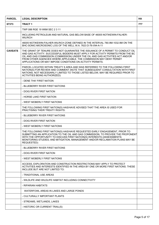| <b>PARCEL</b>  | <b>LEGAL DESCRIPTION</b>                                                                                                                                                                                                                                                                                                                                                                    | <b>HA</b> |
|----------------|---------------------------------------------------------------------------------------------------------------------------------------------------------------------------------------------------------------------------------------------------------------------------------------------------------------------------------------------------------------------------------------------|-----------|
| 67373          | <b>TRACT1</b>                                                                                                                                                                                                                                                                                                                                                                               | 777       |
|                | TWP 088 RGF 19 W6M SFC 2 3 11                                                                                                                                                                                                                                                                                                                                                               |           |
|                | INCLUDING PETROLEUM AND NATURAL GAS BELOW BASE OF 46005 NOTIKEWIN-FALHER-<br><b>WILRICH</b>                                                                                                                                                                                                                                                                                                 |           |
|                | 46005 NOTIKEWIN-FALHER-WILRICH ZONE DEFINED IN THE INTERVAL 780.9M-1032.9M ON THE<br>BHC-SONIC-MICROSONIC LOG OF THE WELL W.A. 7623 D-76-1/94-A-11                                                                                                                                                                                                                                          |           |
| <b>CAVEATS</b> | THE GRANT OF TENURE DOES NOT GUARANTEE THE ISSUANCE OF A PERMIT TO CONDUCT OIL<br>AND GAS ACTIVITY. SUCCESSFUL BIDDERS MUST APPLY FOR ACTIVITY PERMITS FROM THE BC<br>OIL AND GAS COMMISSION (COMMISSION) UNDER THE OIL AND GAS ACTIVITIES ACT AND/OR<br>FROM OTHER AGENCIES WHERE APPLICABLE. THE COMMISSION MAY DENY PERMIT<br>APPLICATIONS OR MAY IMPOSE CONDITIONS ON ACTIVITY PERMITS. |           |
|                | PARCEL LOCATED WITHIN TREATY 8 AREA AND WAS REFERRED TO THE FOLLOWING FIRST<br>NATION(S) FOR REVIEW AND COMMENT (NOTE THAT SUBSEQUENT CONSULTATION WITH FIRST<br>NATIONS, NOT NECESSARILY LIMITED TO THOSE LISTED BELOW, MAY BE REQUIRED PRIOR TO<br><b>ACTIVITIES BEING AUTHORIZED):</b>                                                                                                   |           |
|                | - DENE THA' FIRST NATION                                                                                                                                                                                                                                                                                                                                                                    |           |
|                | - BLUEBERRY RIVER FIRST NATIONS                                                                                                                                                                                                                                                                                                                                                             |           |
|                | - DOIG RIVER FIRST NATION                                                                                                                                                                                                                                                                                                                                                                   |           |
|                | - HORSE LAKE FIRST NATION                                                                                                                                                                                                                                                                                                                                                                   |           |
|                | - WEST MOBERLY FIRST NATIONS                                                                                                                                                                                                                                                                                                                                                                |           |
|                | THE FOLLOWING FIRST NATION(S) HAS/HAVE ADVISED THAT THE AREA IS USED FOR<br>PRACTISING THEIR TREATY RIGHTS:                                                                                                                                                                                                                                                                                 |           |
|                | - BLUEBERRY RIVER FIRST NATIONS                                                                                                                                                                                                                                                                                                                                                             |           |
|                | - DOIG RIVER FIRST NATION                                                                                                                                                                                                                                                                                                                                                                   |           |
|                | - WEST MOBERLY FIRST NATIONS                                                                                                                                                                                                                                                                                                                                                                |           |
|                | THE FOLLOWING FIRST NATION(S) HAS/HAVE REQUESTED EARLY ENGAGEMENT, PRIOR TO<br>SUBMITTING AN APPLICATION TO THE OIL AND GAS COMMISSION, TO PROVIDE THE PROPONENT<br>WITH THE OPPORTUNITY TO DISCUSS FIRST NATION(S) INTERESTS (ASSESSMENTS;<br>MONITORING STUDIES; AND MITIGATION, MANAGEMENT AND/OR RECLAMATION PLANS MAY BE<br>REQUESTED):                                                |           |
|                | - BLUEBERRY RIVER FIRST NATIONS                                                                                                                                                                                                                                                                                                                                                             |           |
|                | - DOIG RIVER FIRST NATION                                                                                                                                                                                                                                                                                                                                                                   |           |
|                | - WEST MOBERLY FIRST NATIONS                                                                                                                                                                                                                                                                                                                                                                |           |
|                | ACCESS, EXPLORATION AND CONSTRUCTION RESTRICTIONS MAY APPLY TO PROTECT<br>ACTIVITIES AND INTERESTS IDENTIFIED IN THE AREA BY ONE OR MORE FIRST NATIONS. THESE<br>INCLUDE BUT ARE NOT LIMITED TO:                                                                                                                                                                                            |           |
|                | - TRADITIONAL USE AREAS                                                                                                                                                                                                                                                                                                                                                                     |           |
|                | - WILDLIFE AND WILDLIFE HABITAT INCLUDING CONNECTIVITY                                                                                                                                                                                                                                                                                                                                      |           |
|                | - RIPARIAN HABITATS                                                                                                                                                                                                                                                                                                                                                                         |           |
|                | WATERFOWL AREAS IN LAKES AND LARGE PONDS                                                                                                                                                                                                                                                                                                                                                    |           |
|                | - CULTURALLY IMPORTANT PLANTS                                                                                                                                                                                                                                                                                                                                                               |           |
|                | - STREAMS, WETLANDS, LAKES                                                                                                                                                                                                                                                                                                                                                                  |           |
|                | - HISTORIC OR CURRENT TRAIL(S)                                                                                                                                                                                                                                                                                                                                                              |           |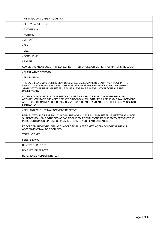| - HISTORIC OR CURRENT CAMP(S)                                                                                                                                                                                                                               |  |
|-------------------------------------------------------------------------------------------------------------------------------------------------------------------------------------------------------------------------------------------------------------|--|
| - BERRY HARVESTING                                                                                                                                                                                                                                          |  |
| - GATHERING                                                                                                                                                                                                                                                 |  |
| - HUNTING                                                                                                                                                                                                                                                   |  |
| - MOOSE                                                                                                                                                                                                                                                     |  |
| - ELK                                                                                                                                                                                                                                                       |  |
| - DEER                                                                                                                                                                                                                                                      |  |
| - PORCUPINE                                                                                                                                                                                                                                                 |  |
| - RABBIT                                                                                                                                                                                                                                                    |  |
| CONCERNS AND ISSUES IN THE AREA IDENTIFIED BY ONE OR MORE FIRST NATIONS INCLUDE:                                                                                                                                                                            |  |
| - CUMULATIVE EFFECTS                                                                                                                                                                                                                                        |  |
| - TRAPLINE(S)                                                                                                                                                                                                                                               |  |
| THE BC OIL AND GAS COMMISSION USES AREA BASED ANALYSIS (ABA) AS A TOOL IN THE<br>APPLICATION REVIEW PROCESS; THIS PARCEL OVERLAPS ABA "ENHANCED MANAGEMENT"<br>STATUS WITHIN RIPARIAN RESERVE ZONES (FOR MORE INFORMATION CONTACT THE<br>COMMISSION).       |  |
| ACCESS AND CONSTRUCTION RESTRICTIONS MAY APPLY. PRIOR TO ON-THE-GROUND<br>ACTIVITY, CONTACT THE APPROPRIATE PROVINCIAL MINISTRY FOR APPLICABLE MANAGEMENT<br>AND PROTECTION MEASURES TO MINIMIZE DISTURBANCE AND ADDRESS THE FOLLOWING (NOT<br>LIMITED TO): |  |
| - FISH AND WILDLIFE MANAGEMENT RESERVE                                                                                                                                                                                                                      |  |
| PARCEL WITHIN OR PARTIALLY WITHIN THE AGRICULTURAL LAND RESERVE; RESTORATION OF<br>SURFACE SOIL ON DISTURBED AREAS REQUIRED. PRECAUTIONS REQUIRED TO PREVENT THE<br>INTRODUCTION OR SPREAD OF INVASIVE PLANTS AND PLANT DISEASES.                           |  |
| RECORDED AND POTENTIAL ARCHAEOLOGICAL SITES EXIST; ARCHAEOLOGICAL IMPACT<br>ASSESSMENT MAY BE REQUIRED.                                                                                                                                                     |  |
| <b>TERM: 3 YEARS</b>                                                                                                                                                                                                                                        |  |
| FEES: \$500.00                                                                                                                                                                                                                                              |  |
| <b>RENT PER HA: \$3.50</b>                                                                                                                                                                                                                                  |  |
| NO FURTHER TRACTS                                                                                                                                                                                                                                           |  |
| REFERENCE NUMBER: 2107005                                                                                                                                                                                                                                   |  |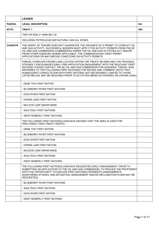|                | <b>LEASES</b>                                                                                                                                                                                                                                                                                                                                                                                                                                                                                        |           |
|----------------|------------------------------------------------------------------------------------------------------------------------------------------------------------------------------------------------------------------------------------------------------------------------------------------------------------------------------------------------------------------------------------------------------------------------------------------------------------------------------------------------------|-----------|
| <b>PARCEL</b>  | <b>LEGAL DESCRIPTION</b>                                                                                                                                                                                                                                                                                                                                                                                                                                                                             | <b>HA</b> |
| 67374          | <b>TRACT 1</b>                                                                                                                                                                                                                                                                                                                                                                                                                                                                                       | 264       |
|                | TWP 079 RGE 21 W6M SEC 20                                                                                                                                                                                                                                                                                                                                                                                                                                                                            |           |
|                | INCLUDING PETROLEUM AND NATURAL GAS ALL ZONES                                                                                                                                                                                                                                                                                                                                                                                                                                                        |           |
| <b>CAVEATS</b> | THE GRANT OF TENURE DOES NOT GUARANTEE THE ISSUANCE OF A PERMIT TO CONDUCT OIL<br>AND GAS ACTIVITY. SUCCESSFUL BIDDERS MUST APPLY FOR ACTIVITY PERMITS FROM THE BC<br>OIL AND GAS COMMISSION (COMMISSION) UNDER THE OIL AND GAS ACTIVITIES ACT AND/OR<br>FROM OTHER AGENCIES WHERE APPLICABLE. THE COMMISSION MAY DENY PERMIT<br>APPLICATIONS OR MAY IMPOSE CONDITIONS ON ACTIVITY PERMITS.                                                                                                          |           |
|                | PARCEL OVERLAPS CROWN LAND LOCATED WITHIN THE TREATY #8 AREA AND THE PROVINCE<br>STRONGLY ENCOURAGES EARLY PRE-APPLICATION ENGAGEMENT WITH THE RELEVANT FIRST<br>NATIONS; PLEASE CONTACT THE BC OIL AND GAS COMMISSION FOR GUIDANCE. PARCEL WAS<br>REFERRED TO THE FOLLOWING FIRST NATION(S) FOR REVIEW AND COMMENT (NOTE THAT<br>SUBSEQUENT CONSULTATION WITH FIRST NATIONS, NOT NECESSARILY LIMITED TO THOSE<br>LISTED BELOW, MAY BE REQUIRED PRIOR TO ACTIVITIES BEING AUTHORIZED ON CROWN LAND): |           |
|                | - DENE THA' FIRST NATION                                                                                                                                                                                                                                                                                                                                                                                                                                                                             |           |
|                | - BLUEBERRY RIVER FIRST NATIONS                                                                                                                                                                                                                                                                                                                                                                                                                                                                      |           |
|                | - DOIG RIVER FIRST NATION                                                                                                                                                                                                                                                                                                                                                                                                                                                                            |           |
|                | - HORSE LAKE FIRST NATION                                                                                                                                                                                                                                                                                                                                                                                                                                                                            |           |
|                | - MCLEOD LAKE INDIAN BAND                                                                                                                                                                                                                                                                                                                                                                                                                                                                            |           |
|                | - SAULTEAU FIRST NATIONS                                                                                                                                                                                                                                                                                                                                                                                                                                                                             |           |
|                | - WEST MOBERLY FIRST NATIONS                                                                                                                                                                                                                                                                                                                                                                                                                                                                         |           |
|                | THE FOLLOWING FIRST NATION(S) HAS/HAVE ADVISED THAT THE AREA IS USED FOR<br><b>PRACTISING THEIR TREATY RIGHTS:</b>                                                                                                                                                                                                                                                                                                                                                                                   |           |
|                | - DENE THA' FIRST NATION                                                                                                                                                                                                                                                                                                                                                                                                                                                                             |           |
|                | - BLUEBERRY RIVER FIRST NATIONS                                                                                                                                                                                                                                                                                                                                                                                                                                                                      |           |
|                | - DOIG RIVER FIRST NATION                                                                                                                                                                                                                                                                                                                                                                                                                                                                            |           |
|                | - HORSE LAKE FIRST NATION                                                                                                                                                                                                                                                                                                                                                                                                                                                                            |           |
|                | - MCLEOD LAKE INDIAN BAND                                                                                                                                                                                                                                                                                                                                                                                                                                                                            |           |
|                | - SAULTEAU FIRST NATIONS                                                                                                                                                                                                                                                                                                                                                                                                                                                                             |           |
|                | - WEST MOBERLY FIRST NATIONS                                                                                                                                                                                                                                                                                                                                                                                                                                                                         |           |
|                | THE FOLLOWING FIRST NATION(S) HAS/HAVE REQUESTED EARLY ENGAGEMENT, PRIOR TO<br>SUBMITTING AN APPLICATION TO THE OIL AND GAS COMMISSION, TO PROVIDE THE PROPONENT<br>WITH THE OPPORTUNITY TO DISCUSS FIRST NATION(S) INTERESTS (ASSESSMENTS;<br>MONITORING STUDIES; AND MITIGATION, MANAGEMENT AND/OR RECLAMATION PLANS MAY BE<br>REQUESTED):                                                                                                                                                         |           |
|                | - BLUEBERRY RIVER FIRST NATIONS                                                                                                                                                                                                                                                                                                                                                                                                                                                                      |           |
|                | - SAULTEAU FIRST NATIONS                                                                                                                                                                                                                                                                                                                                                                                                                                                                             |           |
|                | - DOIG RIVER FIRST NATION                                                                                                                                                                                                                                                                                                                                                                                                                                                                            |           |
|                | - WEST MOBERLY FIRST NATIONS                                                                                                                                                                                                                                                                                                                                                                                                                                                                         |           |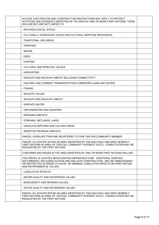| ACCESS, EXPLORATION AND CONSTRUCTION RESTRICTIONS MAY APPLY TO PROTECT<br>ACTIVITIES AND INTERESTS IDENTIFIED IN THE AREA BY ONE OR MORE FIRST NATIONS. THESE<br>INCLUDE BUT ARE NOT LIMITED TO:                                                                     |  |
|----------------------------------------------------------------------------------------------------------------------------------------------------------------------------------------------------------------------------------------------------------------------|--|
| - ARCHAEOLOGICAL SITE(S)                                                                                                                                                                                                                                             |  |
| - CULTURALLY SIGNIFICANT SITE(S) AND CULTURAL HERITAGE RESOURCES.                                                                                                                                                                                                    |  |
| - TRADITIONAL USE AREAS                                                                                                                                                                                                                                              |  |
| - TRAPPING                                                                                                                                                                                                                                                           |  |
| - MOOSE                                                                                                                                                                                                                                                              |  |
| - DEER                                                                                                                                                                                                                                                               |  |
| - HUNTING                                                                                                                                                                                                                                                            |  |
| - CULTURAL AND SPIRITUAL VALUES                                                                                                                                                                                                                                      |  |
| - HARVESTING                                                                                                                                                                                                                                                         |  |
| - WILDLIFE AND WILDLIFE HABITAT INCLUDING CONNECTIVITY                                                                                                                                                                                                               |  |
| - HISTORIC AND CURRENT TRANSPORTATION CORRIDORS (LAND AND WATER)                                                                                                                                                                                                     |  |
| - FISHING                                                                                                                                                                                                                                                            |  |
| - WILDLIFE VALUES                                                                                                                                                                                                                                                    |  |
| - WILDLIFE AND WILDLIFE HABITAT                                                                                                                                                                                                                                      |  |
| - SURFACE WATER                                                                                                                                                                                                                                                      |  |
| - GROUNDWATER AND AQUIFERS                                                                                                                                                                                                                                           |  |
| - RIPARIAN HABITATS                                                                                                                                                                                                                                                  |  |
| - STREAMS, WETLANDS, LAKES                                                                                                                                                                                                                                           |  |
| - UNGULATE BIRTHING AND CALVING AREAS                                                                                                                                                                                                                                |  |
| - SENSITIVE RIPARIAN HABITATS                                                                                                                                                                                                                                        |  |
| PARCEL OVERLAPS TRAPLINE REGISTERED TO FIRST NATION COMMUNITY MEMBER                                                                                                                                                                                                 |  |
| PARCEL IS LOCATED WITHIN AN AREA IDENTIFIED BY THE SAULTEAU AND WEST MOBERLY<br>FIRST NATIONS AS AREA OF CRITICAL COMMUNITY INTEREST (ACCI); CONSULTATION MAY BE<br>REQUESTED BY THE FIRST NATIONS.                                                                  |  |
| CONCERNS AND ISSUES IN THE AREA IDENTIFIED BY ONE OR MORE FIRST NATIONS INCLUDE:                                                                                                                                                                                     |  |
| THE PARCEL IS LOCATED NEAR EXISTING INFRASTRUCTURE. ADDITIONAL SURFACE<br>DISTURBANCE, INCLUDING ACCESS AND WELLSITE CONSTRUCTION, MAY BE UNNECESSARY<br>OR RESTRICTED IN ORDER TO AVOID OR MINIMIZE CUMULATIVE IMPACTS ON FIRST NATION<br>AND ENVIRONMENTAL VALUES. |  |
| - CUMULATIVE EFFECTS                                                                                                                                                                                                                                                 |  |
| - WATER QUALITY AND WATERSHED VALUES                                                                                                                                                                                                                                 |  |
| - BIODIVERSITY AND RIPARIAN VALUES                                                                                                                                                                                                                                   |  |
| - WATER QUALITY AND WATERSHED VALUES                                                                                                                                                                                                                                 |  |
| PARCEL IS LOCATED WITHIN AN AREA IDENTIFIED BY THE SAULTEAU AND WEST MOBERLY<br>FIRST NATIONS AS AREA OF CRITICAL COMMUNITY INTEREST (ACCI); CONSULTATION MAY BE<br>REQUESTED BY THE FIRST NATIONS.                                                                  |  |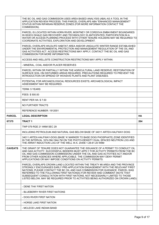|                | THE BC OIL AND GAS COMMISSION USES AREA BASED ANALYSIS (ABA) AS A TOOL IN THE<br>APPLICATION REVIEW PROCESS; THIS PARCEL OVERLAPS ABA "ENHANCED MANAGEMENT"<br>STATUS WITHIN RIPARIAN RESERVE ZONES (FOR MORE INFORMATION CONTACT THE<br>COMMISSION).                                                                                                                                                                                                                                                |           |
|----------------|------------------------------------------------------------------------------------------------------------------------------------------------------------------------------------------------------------------------------------------------------------------------------------------------------------------------------------------------------------------------------------------------------------------------------------------------------------------------------------------------------|-----------|
|                | PARCEL IS LOCATED WITHIN HORN RIVER, MONTNEY OR CORDOVA EMBAYMENT BOUNDARIES<br>IN WHICH SHALE GAS RECOVERY AND TECHNOLOGY IS ANTICIPATED; PARTICIPATION IN A<br>WATER OR ACCESS PLANNING PROCESS WITH OTHER TENURE HOLDERS MAY BE REQUIRED TO<br>COORDINATE ACTIVITIES, EXPLORATION AND DEVELOPMENT.                                                                                                                                                                                                |           |
|                | PARCEL OVERLAPS WILDLIFE HABITAT AREA AND/OR UNGULATE WINTER RANGE ESTABLISHED<br>UNDER THE ENVIRONMENTAL PROTECTION AND MANAGEMENT REGULATION OF THE OIL AND<br>GAS ACTIVITIES ACT. ACCESS RESTRICTIONS MAY APPLY; CONTACT THE BC OIL AND GAS<br>COMMISSION FOR MORE INFORMATION.                                                                                                                                                                                                                   |           |
|                | ACCESS AND WELLSITE CONSTRUCTION RESTRICTIONS MAY APPLY WITHIN:                                                                                                                                                                                                                                                                                                                                                                                                                                      |           |
|                | - MINERAL, COAL AND/OR PLACER RESERVES                                                                                                                                                                                                                                                                                                                                                                                                                                                               |           |
|                | PARCEL WITHIN OR PARTIALLY WITHIN THE AGRICULTURAL LAND RESERVE; RESTORATION OF<br>SURFACE SOIL ON DISTURBED AREAS REQUIRED. PRECAUTIONS REQUIRED TO PREVENT THE<br>INTRODUCTION OR SPREAD OF INVASIVE PLANTS AND PLANT DISEASES.                                                                                                                                                                                                                                                                    |           |
|                | POTENTIAL FOR ARCHAEOLOGICAL RESOURCES EXISTS; ARCHAEOLOGICAL IMPACT<br>ASSESSMENT MAY BE REQUIRED.                                                                                                                                                                                                                                                                                                                                                                                                  |           |
|                | <b>TERM: 5 YEARS</b>                                                                                                                                                                                                                                                                                                                                                                                                                                                                                 |           |
|                | FEES: \$500.00                                                                                                                                                                                                                                                                                                                                                                                                                                                                                       |           |
|                | <b>RENT PER HA: \$7.50</b>                                                                                                                                                                                                                                                                                                                                                                                                                                                                           |           |
|                | NO FURTHER TRACTS                                                                                                                                                                                                                                                                                                                                                                                                                                                                                    |           |
|                | REFERENCE NUMBER: 1912001                                                                                                                                                                                                                                                                                                                                                                                                                                                                            |           |
|                |                                                                                                                                                                                                                                                                                                                                                                                                                                                                                                      |           |
| <b>PARCEL</b>  | <b>LEGAL DESCRIPTION</b>                                                                                                                                                                                                                                                                                                                                                                                                                                                                             | <b>HA</b> |
| 67375          | <b>TRACT 1</b>                                                                                                                                                                                                                                                                                                                                                                                                                                                                                       | 264       |
|                | TWP 079 RGE 21 W6M SEC 29                                                                                                                                                                                                                                                                                                                                                                                                                                                                            |           |
|                | INCLUDING PETROLEUM AND NATURAL GAS BELOW BASE OF 34011 ARTEX-HALFWAY-DOIG                                                                                                                                                                                                                                                                                                                                                                                                                           |           |
|                | 34011 ARTEX-HALFWAY-DOIG (BASE 'A' MARKER TO BASE DOIG PHOSPHATE) ZONE IDENTIFIED<br>IN THE INTERVAL 1674.5M-1944.7M ON THE PHOTO-DENSITY DUAL SPACED NEUTRON LOG AND<br>THE ARRAY INDUCTION LOG OF THE WELL W.A. 24456 1-28-81-20 W6M                                                                                                                                                                                                                                                               |           |
| <b>CAVEATS</b> | THE GRANT OF TENURE DOES NOT GUARANTEE THE ISSUANCE OF A PERMIT TO CONDUCT OIL<br>AND GAS ACTIVITY. SUCCESSFUL BIDDERS MUST APPLY FOR ACTIVITY PERMITS FROM THE BC<br>OIL AND GAS COMMISSION (COMMISSION) UNDER THE OIL AND GAS ACTIVITIES ACT AND/OR<br>FROM OTHER AGENCIES WHERE APPLICABLE. THE COMMISSION MAY DENY PERMIT<br>APPLICATIONS OR MAY IMPOSE CONDITIONS ON ACTIVITY PERMITS.                                                                                                          |           |
|                | PARCEL OVERLAPS CROWN LAND LOCATED WITHIN THE TREATY #8 AREA AND THE PROVINCE<br>STRONGLY ENCOURAGES EARLY PRE-APPLICATION ENGAGEMENT WITH THE RELEVANT FIRST<br>NATIONS; PLEASE CONTACT THE BC OIL AND GAS COMMISSION FOR GUIDANCE. PARCEL WAS<br>REFERRED TO THE FOLLOWING FIRST NATION(S) FOR REVIEW AND COMMENT (NOTE THAT<br>SUBSEQUENT CONSULTATION WITH FIRST NATIONS, NOT NECESSARILY LIMITED TO THOSE<br>LISTED BELOW, MAY BE REQUIRED PRIOR TO ACTIVITIES BEING AUTHORIZED ON CROWN LAND): |           |
|                | - DENE THA' FIRST NATION                                                                                                                                                                                                                                                                                                                                                                                                                                                                             |           |
|                | - BLUEBERRY RIVER FIRST NATIONS                                                                                                                                                                                                                                                                                                                                                                                                                                                                      |           |
|                | - DOIG RIVER FIRST NATION                                                                                                                                                                                                                                                                                                                                                                                                                                                                            |           |
|                | - HORSE LAKE FIRST NATION                                                                                                                                                                                                                                                                                                                                                                                                                                                                            |           |
|                | - MCLEOD LAKE INDIAN BAND                                                                                                                                                                                                                                                                                                                                                                                                                                                                            |           |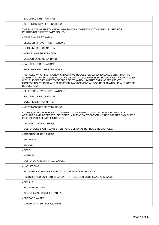| - SAULTEAU FIRST NATIONS                                                                                                                                                                                                                                                                                                                     |  |
|----------------------------------------------------------------------------------------------------------------------------------------------------------------------------------------------------------------------------------------------------------------------------------------------------------------------------------------------|--|
| - WEST MOBERLY FIRST NATIONS                                                                                                                                                                                                                                                                                                                 |  |
| THE FOLLOWING FIRST NATION(S) HAS/HAVE ADVISED THAT THE AREA IS USED FOR<br>PRACTISING THEIR TREATY RIGHTS:                                                                                                                                                                                                                                  |  |
| - DENE THA' FIRST NATION                                                                                                                                                                                                                                                                                                                     |  |
| - BLUEBERRY RIVER FIRST NATIONS                                                                                                                                                                                                                                                                                                              |  |
| - DOIG RIVER FIRST NATION                                                                                                                                                                                                                                                                                                                    |  |
| - HORSE LAKE FIRST NATION                                                                                                                                                                                                                                                                                                                    |  |
| - MCLEOD LAKE INDIAN BAND                                                                                                                                                                                                                                                                                                                    |  |
| - SAULTEAU FIRST NATIONS                                                                                                                                                                                                                                                                                                                     |  |
| - WEST MOBERLY FIRST NATIONS                                                                                                                                                                                                                                                                                                                 |  |
| THE FOLLOWING FIRST NATION(S) HAS/HAVE REQUESTED EARLY ENGAGEMENT, PRIOR TO<br>SUBMITTING AN APPLICATION TO THE OIL AND GAS COMMISSION, TO PROVIDE THE PROPONENT<br>WITH THE OPPORTUNITY TO DISCUSS FIRST NATION(S) INTERESTS (ASSESSMENTS;<br>MONITORING STUDIES; AND MITIGATION, MANAGEMENT AND/OR RECLAMATION PLANS MAY BE<br>REQUESTED): |  |
| - BLUEBERRY RIVER FIRST NATIONS                                                                                                                                                                                                                                                                                                              |  |
| - SAULTEAU FIRST NATIONS                                                                                                                                                                                                                                                                                                                     |  |
| - DOIG RIVER FIRST NATION                                                                                                                                                                                                                                                                                                                    |  |
| - WEST MOBERLY FIRST NATIONS                                                                                                                                                                                                                                                                                                                 |  |
| ACCESS, EXPLORATION AND CONSTRUCTION RESTRICTIONS MAY APPLY TO PROTECT<br>ACTIVITIES AND INTERESTS IDENTIFIED IN THE AREA BY ONE OR MORE FIRST NATIONS. THESE<br>INCLUDE BUT ARE NOT LIMITED TO:                                                                                                                                             |  |
| - ARCHAEOLOGICAL SITE(S)                                                                                                                                                                                                                                                                                                                     |  |
| - CULTURALLY SIGNIFICANT SITE(S) AND CULTURAL HERITAGE RESOURCES.                                                                                                                                                                                                                                                                            |  |
| - TRADITIONAL USE AREAS                                                                                                                                                                                                                                                                                                                      |  |
| - TRAPPING                                                                                                                                                                                                                                                                                                                                   |  |
| - MOOSE                                                                                                                                                                                                                                                                                                                                      |  |
| - DEER                                                                                                                                                                                                                                                                                                                                       |  |
| - HUNTING                                                                                                                                                                                                                                                                                                                                    |  |
| - CULTURAL AND SPIRITUAL VALUES                                                                                                                                                                                                                                                                                                              |  |
| - HARVESTING                                                                                                                                                                                                                                                                                                                                 |  |
| - WILDLIFE AND WILDLIFE HABITAT INCLUDING CONNECTIVITY                                                                                                                                                                                                                                                                                       |  |
| - HISTORIC AND CURRENT TRANSPORTATION CORRIDORS (LAND AND WATER)                                                                                                                                                                                                                                                                             |  |
| - FISHING                                                                                                                                                                                                                                                                                                                                    |  |
| - WILDLIFE VALUES                                                                                                                                                                                                                                                                                                                            |  |
| - WILDLIFE AND WILDLIFE HABITAT                                                                                                                                                                                                                                                                                                              |  |
| - SURFACE WATER                                                                                                                                                                                                                                                                                                                              |  |
| - GROUNDWATER AND AQUIFERS                                                                                                                                                                                                                                                                                                                   |  |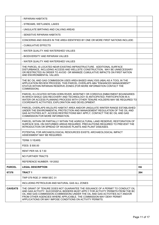|                | - RIPARIAN HABITATS                                                                                                                                                                                                                                                                                                                                                                         |           |
|----------------|---------------------------------------------------------------------------------------------------------------------------------------------------------------------------------------------------------------------------------------------------------------------------------------------------------------------------------------------------------------------------------------------|-----------|
|                | - STREAMS, WETLANDS, LAKES                                                                                                                                                                                                                                                                                                                                                                  |           |
|                | - UNGULATE BIRTHING AND CALVING AREAS                                                                                                                                                                                                                                                                                                                                                       |           |
|                | - SENSITIVE RIPARIAN HABITATS                                                                                                                                                                                                                                                                                                                                                               |           |
|                | CONCERNS AND ISSUES IN THE AREA IDENTIFIED BY ONE OR MORE FIRST NATIONS INCLUDE:                                                                                                                                                                                                                                                                                                            |           |
|                | - CUMULATIVE EFFECTS                                                                                                                                                                                                                                                                                                                                                                        |           |
|                | - WATER QUALITY AND WATERSHED VALUES                                                                                                                                                                                                                                                                                                                                                        |           |
|                | - BIODIVERSITY AND RIPARIAN VALUES                                                                                                                                                                                                                                                                                                                                                          |           |
|                | - WATER QUALITY AND WATERSHED VALUES                                                                                                                                                                                                                                                                                                                                                        |           |
|                | THE PARCEL IS LOCATED NEAR EXISTING INFRASTRUCTURE. ADDITIONAL SURFACE<br>DISTURBANCE, INCLUDING ACCESS AND WELLSITE CONSTRUCTION, MAY BE UNNECESSARY<br>OR RESTRICTED IN ORDER TO AVOID OR MINIMIZE CUMULATIVE IMPACTS ON FIRST NATION<br>AND ENVIRONMENTAL VALUES.                                                                                                                        |           |
|                | THE BC OIL AND GAS COMMISSION USES AREA BASED ANALYSIS (ABA) AS A TOOL IN THE<br>APPLICATION REVIEW PROCESS; THIS PARCEL OVERLAPS ABA "ENHANCED MANAGEMENT"<br>STATUS WITHIN RIPARIAN RESERVE ZONES (FOR MORE INFORMATION CONTACT THE<br>COMMISSION).                                                                                                                                       |           |
|                | PARCEL IS LOCATED WITHIN HORN RIVER, MONTNEY OR CORDOVA EMBAYMENT BOUNDARIES<br>IN WHICH SHALE GAS RECOVERY AND TECHNOLOGY IS ANTICIPATED; PARTICIPATION IN A<br>WATER OR ACCESS PLANNING PROCESS WITH OTHER TENURE HOLDERS MAY BE REQUIRED TO<br>COORDINATE ACTIVITIES, EXPLORATION AND DEVELOPMENT.                                                                                       |           |
|                | PARCEL OVERLAPS WILDLIFE HABITAT AREA AND/OR UNGULATE WINTER RANGE ESTABLISHED<br>UNDER THE ENVIRONMENTAL PROTECTION AND MANAGEMENT REGULATION OF THE OIL AND<br>GAS ACTIVITIES ACT. ACCESS RESTRICTIONS MAY APPLY; CONTACT THE BC OIL AND GAS<br>COMMISSION FOR MORE INFORMATION.                                                                                                          |           |
|                | PARCEL WITHIN OR PARTIALLY WITHIN THE AGRICULTURAL LAND RESERVE; RESTORATION OF<br>SURFACE SOIL ON DISTURBED AREAS REQUIRED. PRECAUTIONS REQUIRED TO PREVENT THE<br>INTRODUCTION OR SPREAD OF INVASIVE PLANTS AND PLANT DISEASES.                                                                                                                                                           |           |
|                | POTENTIAL FOR ARCHAEOLOGICAL RESOURCES EXISTS; ARCHAEOLOGICAL IMPACT<br>ASSESSMENT MAY BE REQUIRED.                                                                                                                                                                                                                                                                                         |           |
|                | TFRM: 5 YFARS                                                                                                                                                                                                                                                                                                                                                                               |           |
|                | FEES: \$500.00                                                                                                                                                                                                                                                                                                                                                                              |           |
|                | <b>RENT PER HA: \$7.50</b>                                                                                                                                                                                                                                                                                                                                                                  |           |
|                | NO FURTHER TRACTS                                                                                                                                                                                                                                                                                                                                                                           |           |
|                | REFERENCE NUMBER: 1912002                                                                                                                                                                                                                                                                                                                                                                   |           |
| <b>PARCEL</b>  | <b>LEGAL DESCRIPTION</b>                                                                                                                                                                                                                                                                                                                                                                    | <b>HA</b> |
| 67376          | <b>TRACT1</b>                                                                                                                                                                                                                                                                                                                                                                               | 264       |
|                | TWP 079 RGE 21 W6M SEC 31                                                                                                                                                                                                                                                                                                                                                                   |           |
|                | INCLUDING PETROLEUM AND NATURAL GAS ALL ZONES                                                                                                                                                                                                                                                                                                                                               |           |
| <b>CAVEATS</b> | THE GRANT OF TENURE DOES NOT GUARANTEE THE ISSUANCE OF A PERMIT TO CONDUCT OIL<br>AND GAS ACTIVITY. SUCCESSFUL BIDDERS MUST APPLY FOR ACTIVITY PERMITS FROM THE BC<br>OIL AND GAS COMMISSION (COMMISSION) UNDER THE OIL AND GAS ACTIVITIES ACT AND/OR<br>FROM OTHER AGENCIES WHERE APPLICABLE. THE COMMISSION MAY DENY PERMIT<br>APPLICATIONS OR MAY IMPOSE CONDITIONS ON ACTIVITY PERMITS. |           |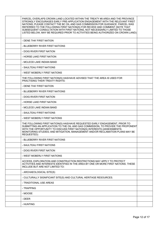| PARCEL OVERLAPS CROWN LAND LOCATED WITHIN THE TREATY #8 AREA AND THE PROVINCE<br>STRONGLY ENCOURAGES EARLY PRE-APPLICATION ENGAGEMENT WITH THE RELEVANT FIRST<br>NATIONS; PLEASE CONTACT THE BC OIL AND GAS COMMISSION FOR GUIDANCE. PARCEL WAS<br>REFERRED TO THE FOLLOWING FIRST NATION(S) FOR REVIEW AND COMMENT (NOTE THAT<br>SUBSEQUENT CONSULTATION WITH FIRST NATIONS, NOT NECESSARILY LIMITED TO THOSE<br>LISTED BELOW, MAY BE REQUIRED PRIOR TO ACTIVITIES BEING AUTHORIZED ON CROWN LAND): |  |
|------------------------------------------------------------------------------------------------------------------------------------------------------------------------------------------------------------------------------------------------------------------------------------------------------------------------------------------------------------------------------------------------------------------------------------------------------------------------------------------------------|--|
| - DENE THA' FIRST NATION                                                                                                                                                                                                                                                                                                                                                                                                                                                                             |  |
| - BLUEBERRY RIVER FIRST NATIONS                                                                                                                                                                                                                                                                                                                                                                                                                                                                      |  |
| - DOIG RIVER FIRST NATION                                                                                                                                                                                                                                                                                                                                                                                                                                                                            |  |
| - HORSE LAKE FIRST NATION                                                                                                                                                                                                                                                                                                                                                                                                                                                                            |  |
| - MCLEOD LAKE INDIAN BAND                                                                                                                                                                                                                                                                                                                                                                                                                                                                            |  |
| - SAULTEAU FIRST NATIONS                                                                                                                                                                                                                                                                                                                                                                                                                                                                             |  |
| - WEST MOBERLY FIRST NATIONS                                                                                                                                                                                                                                                                                                                                                                                                                                                                         |  |
| THE FOLLOWING FIRST NATION(S) HAS/HAVE ADVISED THAT THE AREA IS USED FOR<br><b>PRACTISING THEIR TREATY RIGHTS:</b>                                                                                                                                                                                                                                                                                                                                                                                   |  |
| - DENE THA' FIRST NATION                                                                                                                                                                                                                                                                                                                                                                                                                                                                             |  |
| - BLUEBERRY RIVER FIRST NATIONS                                                                                                                                                                                                                                                                                                                                                                                                                                                                      |  |
| - DOIG RIVER FIRST NATION                                                                                                                                                                                                                                                                                                                                                                                                                                                                            |  |
| - HORSE LAKE FIRST NATION                                                                                                                                                                                                                                                                                                                                                                                                                                                                            |  |
| - MCLEOD LAKE INDIAN BAND                                                                                                                                                                                                                                                                                                                                                                                                                                                                            |  |
| - SAULTEAU FIRST NATIONS                                                                                                                                                                                                                                                                                                                                                                                                                                                                             |  |
| - WEST MOBERLY FIRST NATIONS                                                                                                                                                                                                                                                                                                                                                                                                                                                                         |  |
| THE FOLLOWING FIRST NATION(S) HAS/HAVE REQUESTED EARLY ENGAGEMENT, PRIOR TO<br>SUBMITTING AN APPLICATION TO THE OIL AND GAS COMMISSION, TO PROVIDE THE PROPONENT<br>WITH THE OPPORTUNITY TO DISCUSS FIRST NATION(S) INTERESTS (ASSESSMENTS;<br>MONITORING STUDIES; AND MITIGATION, MANAGEMENT AND/OR RECLAMATION PLANS MAY BE<br>REQUESTED):                                                                                                                                                         |  |
| - BLUEBERRY RIVER FIRST NATIONS                                                                                                                                                                                                                                                                                                                                                                                                                                                                      |  |
| - SAULTEAU FIRST NATIONS                                                                                                                                                                                                                                                                                                                                                                                                                                                                             |  |
| - DOIG RIVER FIRST NATION                                                                                                                                                                                                                                                                                                                                                                                                                                                                            |  |
| - WEST MOBERLY FIRST NATIONS                                                                                                                                                                                                                                                                                                                                                                                                                                                                         |  |
| ACCESS, EXPLORATION AND CONSTRUCTION RESTRICTIONS MAY APPLY TO PROTECT<br>ACTIVITIES AND INTERESTS IDENTIFIED IN THE AREA BY ONE OR MORE FIRST NATIONS. THESE<br>INCLUDE BUT ARE NOT LIMITED TO:                                                                                                                                                                                                                                                                                                     |  |
| - ARCHAEOLOGICAL SITE(S)                                                                                                                                                                                                                                                                                                                                                                                                                                                                             |  |
| - CULTURALLY SIGNIFICANT SITE(S) AND CULTURAL HERITAGE RESOURCES.                                                                                                                                                                                                                                                                                                                                                                                                                                    |  |
| - TRADITIONAL USE AREAS                                                                                                                                                                                                                                                                                                                                                                                                                                                                              |  |
| - TRAPPING                                                                                                                                                                                                                                                                                                                                                                                                                                                                                           |  |
| - MOOSE                                                                                                                                                                                                                                                                                                                                                                                                                                                                                              |  |
| - DEER                                                                                                                                                                                                                                                                                                                                                                                                                                                                                               |  |
| - HUNTING                                                                                                                                                                                                                                                                                                                                                                                                                                                                                            |  |
|                                                                                                                                                                                                                                                                                                                                                                                                                                                                                                      |  |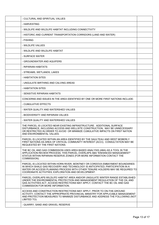| - CULTURAL AND SPIRITUAL VALUES                                                                                                                                                                                                                                                                       |  |
|-------------------------------------------------------------------------------------------------------------------------------------------------------------------------------------------------------------------------------------------------------------------------------------------------------|--|
| - HARVESTING                                                                                                                                                                                                                                                                                          |  |
| - WILDLIFE AND WILDLIFE HABITAT INCLUDING CONNECTIVITY                                                                                                                                                                                                                                                |  |
| - HISTORIC AND CURRENT TRANSPORTATION CORRIDORS (LAND AND WATER)                                                                                                                                                                                                                                      |  |
| - FISHING                                                                                                                                                                                                                                                                                             |  |
| - WILDLIFE VALUES                                                                                                                                                                                                                                                                                     |  |
| - WILDLIFE AND WILDLIFE HABITAT                                                                                                                                                                                                                                                                       |  |
| - SURFACE WATER                                                                                                                                                                                                                                                                                       |  |
| - GROUNDWATER AND AQUIFERS                                                                                                                                                                                                                                                                            |  |
| - RIPARIAN HABITATS                                                                                                                                                                                                                                                                                   |  |
| - STREAMS, WETLANDS, LAKES                                                                                                                                                                                                                                                                            |  |
| - HABITATION SITES                                                                                                                                                                                                                                                                                    |  |
| - UNGULATE BIRTHING AND CALVING AREAS                                                                                                                                                                                                                                                                 |  |
| - HABITATION SITES                                                                                                                                                                                                                                                                                    |  |
| - SENSITIVE RIPARIAN HABITATS                                                                                                                                                                                                                                                                         |  |
| CONCERNS AND ISSUES IN THE AREA IDENTIFIED BY ONE OR MORE FIRST NATIONS INCLUDE:                                                                                                                                                                                                                      |  |
| - CUMULATIVE EFFECTS                                                                                                                                                                                                                                                                                  |  |
| - WATER QUALITY AND WATERSHED VALUES                                                                                                                                                                                                                                                                  |  |
| - BIODIVERSITY AND RIPARIAN VALUES                                                                                                                                                                                                                                                                    |  |
| - WATER QUALITY AND WATERSHED VALUES                                                                                                                                                                                                                                                                  |  |
| THE PARCEL IS LOCATED NEAR EXISTING INFRASTRUCTURE. ADDITIONAL SURFACE<br>DISTURBANCE, INCLUDING ACCESS AND WELLSITE CONSTRUCTION, MAY BE UNNECESSARY<br>OR RESTRICTED IN ORDER TO AVOID OR MINIMIZE CUMULATIVE IMPACTS ON FIRST NATION<br>AND ENVIRONMENTAL VALUES.                                  |  |
| PARCEL IS LOCATED WITHIN AN AREA IDENTIFIED BY THE SAULTEAU AND WEST MOBERLY<br>FIRST NATIONS AS AREA OF CRITICAL COMMUNITY INTEREST (ACCI); CONSULTATION MAY BE<br>REQUESTED BY THE FIRST NATIONS.                                                                                                   |  |
| THE BC OIL AND GAS COMMISSION USES AREA BASED ANALYSIS (ABA) AS A TOOL IN THE<br>APPLICATION REVIEW PROCESS; THIS PARCEL OVERLAPS ABA "ENHANCED MANAGEMENT"<br>STATUS WITHIN RIPARIAN RESERVE ZONES (FOR MORE INFORMATION CONTACT THE<br>COMMISSION).                                                 |  |
| PARCEL IS LOCATED WITHIN HORN RIVER, MONTNEY OR CORDOVA EMBAYMENT BOUNDARIES<br>IN WHICH SHALE GAS RECOVERY AND TECHNOLOGY IS ANTICIPATED; PARTICIPATION IN A<br>WATER OR ACCESS PLANNING PROCESS WITH OTHER TENURE HOLDERS MAY BE REQUIRED TO<br>COORDINATE ACTIVITIES, EXPLORATION AND DEVELOPMENT. |  |
| PARCEL OVERLAPS WILDLIFE HABITAT AREA AND/OR UNGULATE WINTER RANGE ESTABLISHED<br>UNDER THE ENVIRONMENTAL PROTECTION AND MANAGEMENT REGULATION OF THE OIL AND<br>GAS ACTIVITIES ACT. ACCESS RESTRICTIONS MAY APPLY; CONTACT THE BC OIL AND GAS<br>COMMISSION FOR MORE INFORMATION.                    |  |
| ACCESS AND CONSTRUCTION RESTRICTIONS MAY APPLY. PRIOR TO ON-THE-GROUND<br>ACTIVITY, CONTACT THE APPROPRIATE PROVINCIAL MINISTRY FOR APPLICABLE MANAGEMENT<br>AND PROTECTION MEASURES TO MINIMIZE DISTURBANCE AND ADDRESS THE FOLLOWING (NOT<br>LIMITED TO):                                           |  |
| - QUARRY, SAND AND GRAVEL RESERVE                                                                                                                                                                                                                                                                     |  |
|                                                                                                                                                                                                                                                                                                       |  |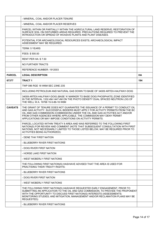|                | - MINERAL, COAL AND/OR PLACER TENURE                                                                                                                                                                                                                                                                                                                                                        |     |
|----------------|---------------------------------------------------------------------------------------------------------------------------------------------------------------------------------------------------------------------------------------------------------------------------------------------------------------------------------------------------------------------------------------------|-----|
|                | - MINERAL, COAL AND/OR PLACER RESERVES                                                                                                                                                                                                                                                                                                                                                      |     |
|                | PARCEL WITHIN OR PARTIALLY WITHIN THE AGRICULTURAL LAND RESERVE; RESTORATION OF<br>SURFACE SOIL ON DISTURBED AREAS REQUIRED. PRECAUTIONS REQUIRED TO PREVENT THE<br>INTRODUCTION OR SPREAD OF INVASIVE PLANTS AND PLANT DISEASES.                                                                                                                                                           |     |
|                | POTENTIAL FOR ARCHAEOLOGICAL RESOURCES EXISTS; ARCHAEOLOGICAL IMPACT<br>ASSESSMENT MAY BE REQUIRED.                                                                                                                                                                                                                                                                                         |     |
|                | <b>TERM: 5 YEARS</b>                                                                                                                                                                                                                                                                                                                                                                        |     |
|                | FEES: \$500.00                                                                                                                                                                                                                                                                                                                                                                              |     |
|                | <b>RENT PER HA: \$7.50</b>                                                                                                                                                                                                                                                                                                                                                                  |     |
|                | NO FURTHER TRACTS                                                                                                                                                                                                                                                                                                                                                                           |     |
|                | REFERENCE NUMBER: 1912003                                                                                                                                                                                                                                                                                                                                                                   |     |
| <b>PARCEL</b>  | <b>LEGAL DESCRIPTION</b>                                                                                                                                                                                                                                                                                                                                                                    | HA  |
| 67377          | <b>TRACT1</b>                                                                                                                                                                                                                                                                                                                                                                               | 194 |
|                | TWP 086 RGE 18 W6M SEC 23NE 23S                                                                                                                                                                                                                                                                                                                                                             |     |
|                | INCLUDING PETROLEUM AND NATURAL GAS DOWN TO BASE OF 34009 ARTEX-HALFWAY-DOIG                                                                                                                                                                                                                                                                                                                |     |
|                | 34009 ARTEX-HALFWAY-DOIG (BASE 'A' MARKER TO BASE DOIG PHOSPHATE) ZONE IDENTIFIED<br>IN THE INTERVAL 1332.4M-1447.4M ON THE PHOTO DENSITY DUAL SPACED NEUTRON LOG OF<br>THE WELL W.A. 19768 15-5-86-16 W6M                                                                                                                                                                                  |     |
| <b>CAVEATS</b> | THE GRANT OF TENURE DOES NOT GUARANTEE THE ISSUANCE OF A PERMIT TO CONDUCT OIL<br>AND GAS ACTIVITY. SUCCESSFUL BIDDERS MUST APPLY FOR ACTIVITY PERMITS FROM THE BC<br>OIL AND GAS COMMISSION (COMMISSION) UNDER THE OIL AND GAS ACTIVITIES ACT AND/OR<br>FROM OTHER AGENCIES WHERE APPLICABLE. THE COMMISSION MAY DENY PERMIT<br>APPLICATIONS OR MAY IMPOSE CONDITIONS ON ACTIVITY PERMITS. |     |
|                | PARCEL LOCATED WITHIN TREATY 8 AREA AND WAS REFERRED TO THE FOLLOWING FIRST<br>NATION(S) FOR REVIEW AND COMMENT (NOTE THAT SUBSEQUENT CONSULTATION WITH FIRST<br>NATIONS, NOT NECESSARILY LIMITED TO THOSE LISTED BELOW, MAY BE REQUIRED PRIOR TO<br><b>ACTIVITIES BEING AUTHORIZED):</b>                                                                                                   |     |
|                | - DENE THA' FIRST NATION                                                                                                                                                                                                                                                                                                                                                                    |     |
|                | - BLUEBERRY RIVER FIRST NATIONS                                                                                                                                                                                                                                                                                                                                                             |     |
|                | - DOIG RIVER FIRST NATION                                                                                                                                                                                                                                                                                                                                                                   |     |
|                | - HORSE LAKE FIRST NATION                                                                                                                                                                                                                                                                                                                                                                   |     |
|                | - WEST MOBERLY FIRST NATIONS                                                                                                                                                                                                                                                                                                                                                                |     |
|                | THE FOLLOWING FIRST NATION(S) HAS/HAVE ADVISED THAT THE AREA IS USED FOR<br>PRACTISING THEIR TREATY RIGHTS:                                                                                                                                                                                                                                                                                 |     |
|                | - BLUEBERRY RIVER FIRST NATIONS                                                                                                                                                                                                                                                                                                                                                             |     |
|                | - DOIG RIVER FIRST NATION                                                                                                                                                                                                                                                                                                                                                                   |     |
|                | - WEST MOBERLY FIRST NATIONS                                                                                                                                                                                                                                                                                                                                                                |     |
|                | THE FOLLOWING FIRST NATION(S) HAS/HAVE REQUESTED EARLY ENGAGEMENT, PRIOR TO<br>SUBMITTING AN APPLICATION TO THE OIL AND GAS COMMISSION, TO PROVIDE THE PROPONENT<br>WITH THE OPPORTUNITY TO DISCUSS FIRST NATION(S) INTERESTS (ASSESSMENTS;<br>MONITORING STUDIES; AND MITIGATION, MANAGEMENT AND/OR RECLAMATION PLANS MAY BE<br>REQUESTED):                                                |     |
|                | - BLUEBERRY RIVER FIRST NATIONS                                                                                                                                                                                                                                                                                                                                                             |     |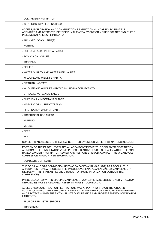| - DOIG RIVER FIRST NATION                                                                                                                                                                                                                                                                     |  |
|-----------------------------------------------------------------------------------------------------------------------------------------------------------------------------------------------------------------------------------------------------------------------------------------------|--|
| - WEST MOBERLY FIRST NATIONS                                                                                                                                                                                                                                                                  |  |
| ACCESS, EXPLORATION AND CONSTRUCTION RESTRICTIONS MAY APPLY TO PROTECT<br>ACTIVITIES AND INTERESTS IDENTIFIED IN THE AREA BY ONE OR MORE FIRST NATIONS. THESE<br>INCLUDE BUT ARE NOT LIMITED TO:                                                                                              |  |
| - ARCHAEOLOGICAL SITE(S)                                                                                                                                                                                                                                                                      |  |
| - HUNTING                                                                                                                                                                                                                                                                                     |  |
| - CULTURAL AND SPIRITUAL VALUES                                                                                                                                                                                                                                                               |  |
| - ECOLOGICAL VALUES                                                                                                                                                                                                                                                                           |  |
| - TRAPPING                                                                                                                                                                                                                                                                                    |  |
| - FISHING                                                                                                                                                                                                                                                                                     |  |
| - WATER QUALITY AND WATERSHED VALUES                                                                                                                                                                                                                                                          |  |
| - WILDLIFE AND WILDLIFE HABITAT                                                                                                                                                                                                                                                               |  |
| - RIPARIAN HABITATS                                                                                                                                                                                                                                                                           |  |
| - WILDLIFE AND WILDLIFE HABITAT INCLUDING CONNECTIVITY                                                                                                                                                                                                                                        |  |
| - STREAMS, WETLANDS, LAKES                                                                                                                                                                                                                                                                    |  |
| - CULTURALLY IMPORTANT PLANTS                                                                                                                                                                                                                                                                 |  |
| - HISTORIC OR CURRENT TRAIL(S)                                                                                                                                                                                                                                                                |  |
| - FIRST NATION CAMP OR CABIN                                                                                                                                                                                                                                                                  |  |
| - TRADITIONAL USE AREAS                                                                                                                                                                                                                                                                       |  |
| - HUNTING                                                                                                                                                                                                                                                                                     |  |
| - MOOSE                                                                                                                                                                                                                                                                                       |  |
| - DEER                                                                                                                                                                                                                                                                                        |  |
| - ELK                                                                                                                                                                                                                                                                                         |  |
| CONCERNS AND ISSUES IN THE AREA IDENTIFIED BY ONE OR MORE FIRST NATIONS INCLUDE:                                                                                                                                                                                                              |  |
| PORTION OF THE PARCEL OVERLAPS AN AREA IDENTIFIED BY THE DOIG RIVER FIRST NATION<br>AS A COMPLEX CONSULTATION ZONE. PROPOSED ACTIVITIES SPECIFICALLY WITHIN THE ZONE<br>HAVE A LONGER FIRST NATION REVIEW AND RESPONSE PERIOD, CONTACT THE OIL AND GAS<br>COMMISSION FOR FURTHER INFORMATION. |  |
| - CUMULATIVE EFFECTS                                                                                                                                                                                                                                                                          |  |
| THE BC OIL AND GAS COMMISSION USES AREA BASED ANALYSIS (ABA) AS A TOOL IN THE<br>APPLICATION REVIEW PROCESS; THIS PARCEL OVERLAPS ABA "ENHANCED MANAGEMENT"<br>STATUS WITHIN RIPARIAN RESERVE ZONES (FOR MORE INFORMATION CONTACT THE<br>COMMISSION).                                         |  |
| PARCEL LOCATED WITHIN SPECIAL MANAGEMENT ZONE. PRE-ASSESSMENTS AND MITIGATION<br>STRATEGIES MAY BE REQUIRED. REFER TO FORT ST. JOHN LRMP.                                                                                                                                                     |  |
| ACCESS AND CONSTRUCTION RESTRICTIONS MAY APPLY. PRIOR TO ON-THE-GROUND<br>ACTIVITY, CONTACT THE APPROPRIATE PROVINCIAL MINISTRY FOR APPLICABLE MANAGEMENT<br>AND PROTECTION MEASURES TO MINIMIZE DISTURBANCE AND ADDRESS THE FOLLOWING (NOT<br>LIMITED TO):                                   |  |
| - BLUE OR RED LISTED SPECIES                                                                                                                                                                                                                                                                  |  |
| - TRAPLINE(S)                                                                                                                                                                                                                                                                                 |  |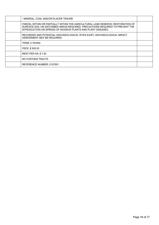| - MINERAL, COAL AND/OR PLACER TENURE                                                                                                                                                                                              |  |
|-----------------------------------------------------------------------------------------------------------------------------------------------------------------------------------------------------------------------------------|--|
| PARCEL WITHIN OR PARTIALLY WITHIN THE AGRICULTURAL LAND RESERVE; RESTORATION OF<br>SURFACE SOIL ON DISTURBED AREAS REQUIRED. PRECAUTIONS REQUIRED TO PREVENT THE<br>INTRODUCTION OR SPREAD OF INVASIVE PLANTS AND PLANT DISEASES. |  |
| RECORDED AND POTENTIAL ARCHAEOLOGICAL SITES EXIST; ARCHAEOLOGICAL IMPACT<br>ASSESSMENT MAY BE REQUIRED.                                                                                                                           |  |
| <b>TERM: 5 YEARS</b>                                                                                                                                                                                                              |  |
| FEES: \$500.00                                                                                                                                                                                                                    |  |
| <b>RENT PER HA: \$7.50</b>                                                                                                                                                                                                        |  |
| NO FURTHER TRACTS                                                                                                                                                                                                                 |  |
| REFERENCE NUMBER: 2107001                                                                                                                                                                                                         |  |